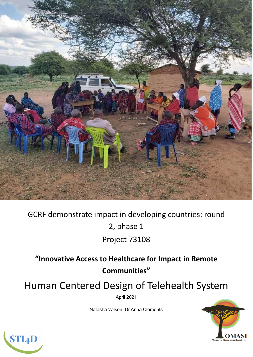

GCRF demonstrate impact in developing countries: round 2, phase 1 Project 73108

**"Innovative Access to Healthcare for Impact in Remote Communities"**

Human Centered Design of Telehealth System

April 2021

Natasha Wilson, Dr Anna Clements



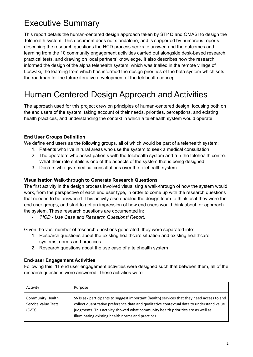# Executive Summary

This report details the human-centered design approach taken by STI4D and OMASI to design the Telehealth system. This document does not standalone, and is supported by numerous reports describing the research questions the HCD process seeks to answer, and the outcomes and learning from the 10 community engagement activities carried out alongside desk-based research, practical tests, and drawing on local partners' knowledge. It also describes how the research informed the design of the alpha telehealth system, which was trialled in the remote village of Loswaki, the learning from which has informed the design priorities of the beta system which sets the roadmap for the future iterative development of the telehealth concept.

## Human Centered Design Approach and Activities

The approach used for this project drew on principles of human-centered design, focusing both on the end users of the system, taking account of their needs, priorities, perceptions, and existing health practices, and understanding the context in which a telehealth system would operate.

#### **End User Groups Definition**

We define end users as the following groups, all of which would be part of a telehealth system:

- 1. Patients who live in rural areas who use the system to seek a medical consultation
- 2. The operators who assist patients with the telehealth system and run the telehealth centre. What their role entails is one of the aspects of the system that is being designed.
- 3. Doctors who give medical consultations over the telehealth system.

#### **Visualisation Walk-through to Generate Research Questions**

The first activity in the design process involved visualising a walk-through of how the system would work, from the perspective of each end user type, in order to come up with the research questions that needed to be answered. This activity also enabled the design team to think as if they were the end user groups, and start to get an impression of how end users would think about, or approach the system. These research questions are documented in:

*- 'HCD - Use Case and Research Questions' Report.*

Given the vast number of research questions generated, they were separated into:

- 1. Research questions about the existing healthcare situation and existing healthcare systems, norms and practices
- 2. Research questions about the use case of a telehealth system

#### **End-user Engagement Activities**

Following this, 11 end user engagement activities were designed such that between them, all of the research questions were answered. These activities were:

| Activity                                                 | Purpose                                                                                                                                                                                                                                                                                                                       |
|----------------------------------------------------------|-------------------------------------------------------------------------------------------------------------------------------------------------------------------------------------------------------------------------------------------------------------------------------------------------------------------------------|
| <b>Community Health</b><br>Service Value Tests<br>(SVTs) | SVTs ask participants to suggest important (health) services that they need access to and<br>collect quantitative preference data and qualitative contextual data to understand value<br>judgments. This activity showed what community health priorities are as well as<br>illuminating existing health norms and practices. |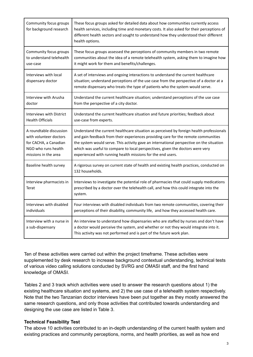| Community focus groups<br>for background research | These focus groups asked for detailed data about how communities currently access<br>health services, including time and monetary costs. It also asked for their perceptions of<br>different health sectors and sought to understand how they understood their different<br>health options. |
|---------------------------------------------------|---------------------------------------------------------------------------------------------------------------------------------------------------------------------------------------------------------------------------------------------------------------------------------------------|
| Community focus groups                            | These focus groups assessed the perceptions of community members in two remote                                                                                                                                                                                                              |
| to understand telehealth                          | communities about the idea of a remote telehealth system, asking them to imagine how                                                                                                                                                                                                        |
| use-case                                          | it might work for them and benefits/challenges.                                                                                                                                                                                                                                             |
| Interviews with local<br>dispensary doctor        | A set of interviews and ongoing interactions to understand the current healthcare<br>situation; understand perceptions of the use case from the perspective of a doctor at a<br>remote dispensary who treats the type of patients who the system would serve.                               |
| Interview with Arusha                             | Understand the current healthcare situation; understand perceptions of the use case                                                                                                                                                                                                         |
| doctor                                            | from the perspective of a city doctor.                                                                                                                                                                                                                                                      |
| Interviews with District                          | Understand the current healthcare situation and future priorities; feedback about                                                                                                                                                                                                           |
| <b>Health Officials</b>                           | use-case from experts.                                                                                                                                                                                                                                                                      |
| A roundtable discussion                           | Understand the current healthcare situation as perceived by foreign health professionals                                                                                                                                                                                                    |
| with volunteer doctors                            | and gain feedback from their experiences providing care for the remote communities                                                                                                                                                                                                          |
| for CACHA, a Canadian                             | the system would serve. This activity gave an international perspective on the situation                                                                                                                                                                                                    |
| NGO who runs health                               | which was useful to compare to local perspectives, given the doctors were very                                                                                                                                                                                                              |
| missions in the area                              | experienced with running health missions for the end users.                                                                                                                                                                                                                                 |
| Baseline health survey                            | A rigorous survey on current state of health and existing health practices, conducted on<br>132 households.                                                                                                                                                                                 |
| Interview pharmacists in<br>Terat                 | Interviews to investigate the potential role of pharmacies that could supply medications<br>prescribed by a doctor over the telehealth call, and how this could integrate into the<br>system.                                                                                               |
| Interviews with disabled                          | Four interviews with disabled individuals from two remote communities, covering their                                                                                                                                                                                                       |
| individuals                                       | perceptions of their disability, community life, and how they accessed health care.                                                                                                                                                                                                         |
| Interview with a nurse in<br>a sub-dispensary     | An interview to understand how dispensaries who are staffed by nurses and don't have<br>a doctor would perceive the system, and whether or not they would integrate into it.<br>This activity was not performed and is part of the future work plan.                                        |

Ten of these activities were carried out within the project timeframe. These activities were supplemented by desk research to increase background contextual understanding, technical tests of various video calling solutions conducted by SVRG and OMASI staff, and the first hand knowledge of OMASI.

Tables 2 and 3 track which activities were used to answer the research questions about 1) the existing healthcare situation and systems, and 2) the use case of a telehealth system respectively. Note that the two Tanzanian doctor interviews have been put together as they mostly answered the same research questions, and only those activities that contributed towards understanding and designing the use case are listed in Table 3.

#### **Technical Feasibility Test**

The above 10 activities contributed to an in-depth understanding of the current health system and existing practices and community perceptions, norms, and health priorities, as well as how end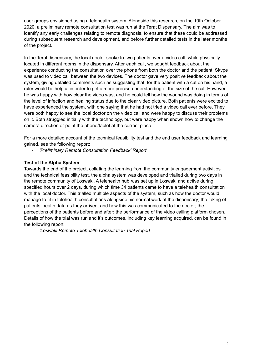user groups envisioned using a telehealth system. Alongside this research, on the 10th October 2020, a preliminary remote consultation test was run at the Terat Dispensary. The aim was to identify any early challenges relating to remote diagnosis, to ensure that these could be addressed during subsequent research and development, and before further detailed tests in the later months of the project.

In the Terat dispensary, the local doctor spoke to two patients over a video call, while physically located in different rooms in the dispensary. After each call, we sought feedback about the experience conducting the consultation over the phone from both the doctor and the patient. Skype was used to video call between the two devices. The doctor gave very positive feedback about the system, giving detailed comments such as suggesting that, for the patient with a cut on his hand, a ruler would be helpful in order to get a more precise understanding of the size of the cut. However he was happy with how clear the video was, and he could tell how the wound was doing in terms of the level of infection and healing status due to the clear video picture. Both patients were excited to have experienced the system, with one saying that he had not tried a video call ever before. They were both happy to see the local doctor on the video call and were happy to discuss their problems on it. Both struggled initially with the technology, but were happy when shown how to change the camera direction or point the phone/tablet at the correct place.

For a more detailed account of the technical feasibility test and the end user feedback and learning gained, see the following report:

*- 'Preliminary Remote Consultation Feedback' Report*

#### **Test of the Alpha System**

Towards the end of the project, collating the learning from the community engagement activities and the technical feasibility test, the alpha system was developed and trialled during two days in the remote community of Loswaki. A telehealth hub was set up in Loswaki and active during specified hours over 2 days, during which time 34 patients came to have a telehealth consultation with the local doctor. This trialled multiple aspects of the system, such as how the doctor would manage to fit in telehealth consultations alongside his normal work at the dispensary; the taking of patients' health data as they arrived, and how this was communicated to the doctor; the perceptions of the patients before and after; the performance of the video calling platform chosen. Details of how the trial was run and it's outcomes, including key learning acquired, can be found in the following report:

*- 'Loswaki Remote Telehealth Consultation Trial Report'*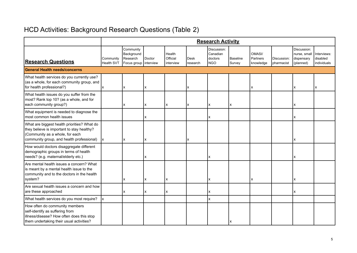## HCD Activities: Background Research Questions (Table 2)

|                                                                                                                                                                           | <b>Research Activity</b>       |                                                                |                |                                 |                  |                                                  |                           |                                 |                           |                                                        |                                        |  |
|---------------------------------------------------------------------------------------------------------------------------------------------------------------------------|--------------------------------|----------------------------------------------------------------|----------------|---------------------------------|------------------|--------------------------------------------------|---------------------------|---------------------------------|---------------------------|--------------------------------------------------------|----------------------------------------|--|
| <b>Research Questions</b>                                                                                                                                                 | Community<br><b>Health SVT</b> | Community<br>Background<br>Research<br>Focus group   interview | Doctor         | Health<br>Official<br>interview | Desk<br>research | Discussion:<br>Canadian<br>doctors<br><b>NGO</b> | <b>Baseline</b><br>Survey | OMASI/<br>Partners<br>knowledge | Discussion:<br>pharmacist | Discussion:<br>nurse, small<br>dispensary<br>(planned) | Interviews:<br>disabled<br>individuals |  |
| <b>General Health needs/concerns</b>                                                                                                                                      |                                |                                                                |                |                                 |                  |                                                  |                           |                                 |                           |                                                        |                                        |  |
| What health services do you currently use?<br>(as a whole, for each community group, and<br>for health professional?)                                                     | x                              | х                                                              | x              |                                 | x                |                                                  |                           | x                               |                           | x                                                      | x                                      |  |
| What health issues do you suffer from the<br>most? Rank top 10? (as a whole, and for<br>each community group?)                                                            |                                | x                                                              | X              | x                               | x                | x                                                | ΙX                        |                                 |                           | X                                                      |                                        |  |
| What equipment is needed to diagnose the<br>most common health issues                                                                                                     |                                |                                                                | Χ              |                                 |                  | x                                                |                           |                                 |                           | x                                                      |                                        |  |
| What are biggest health priorities? What do<br>they believe is important to stay healthy?<br>(Community as a whole, for each<br>community group, and health professional) | Ix.                            | X                                                              | X              |                                 | x                |                                                  |                           |                                 |                           | x                                                      |                                        |  |
| How would doctors disaggregate different<br>demographic groups in terms of health<br>needs? (e.g. maternal/elderly etc.)                                                  |                                |                                                                | x              |                                 |                  | x                                                |                           |                                 |                           | x                                                      |                                        |  |
| Are mental health issues a concern? What<br>is meant by a mental health issue to the<br>community and to the doctors in the health<br>system?                             |                                | X                                                              | $\pmb{\times}$ | X                               |                  | X                                                |                           | X                               |                           | X                                                      |                                        |  |
| Are sexual health issues a concern and how<br>are these approached                                                                                                        |                                | X                                                              | x              | X                               |                  | X                                                |                           |                                 |                           | x                                                      |                                        |  |
| What health services do you most require?                                                                                                                                 | lx.                            |                                                                |                |                                 |                  | X                                                |                           |                                 |                           |                                                        |                                        |  |
| How often do community members<br>self-identify as suffering from<br>illness/disease? How often does this stop<br>them undertaking their usual activities?                |                                |                                                                |                |                                 |                  |                                                  |                           |                                 |                           |                                                        |                                        |  |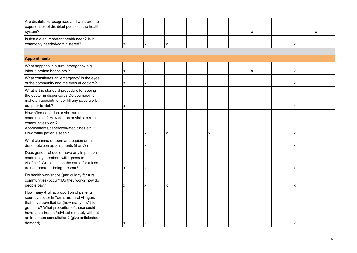| Are disabilities recognised and what are the<br>experiences of disabled people in the health<br>system?                                                                                                                                                                                    |  |   |   |   |  |   |  | X |  |     | x |  |  |  |
|--------------------------------------------------------------------------------------------------------------------------------------------------------------------------------------------------------------------------------------------------------------------------------------------|--|---|---|---|--|---|--|---|--|-----|---|--|--|--|
| Is first aid an important health need? Is it<br>commonly needed/administered?                                                                                                                                                                                                              |  | X | x | X |  |   |  |   |  | X   |   |  |  |  |
|                                                                                                                                                                                                                                                                                            |  |   |   |   |  |   |  |   |  |     |   |  |  |  |
| <b>Appointments</b>                                                                                                                                                                                                                                                                        |  |   |   |   |  |   |  |   |  |     |   |  |  |  |
| What happens in a rural emergency e.g.<br>labour, broken bones etc.?                                                                                                                                                                                                                       |  | x | x |   |  |   |  | x |  | X   |   |  |  |  |
| What constitutes an 'emergency' in the eyes<br>of the community and the eyes of doctors?                                                                                                                                                                                                   |  | x | x |   |  |   |  |   |  | x   |   |  |  |  |
| What is the standard procedure for seeing<br>the doctor in dispensary? Do you need to<br>make an appointment or fill any paperwork<br>out prior to visit?                                                                                                                                  |  | x | x |   |  |   |  |   |  | X   |   |  |  |  |
| How often does doctor visit rural<br>communities? How do doctor visits to rural<br>communities work?<br>Appointments/paperwork/medicines etc.?<br>How many patients seen?                                                                                                                  |  |   | X | X |  | X |  |   |  | ΙX. |   |  |  |  |
| What cleaning of room and equipment is<br>done between appointments (if any?)                                                                                                                                                                                                              |  |   | X |   |  |   |  |   |  | x   |   |  |  |  |
| Does gender of doctor have any impact on<br>community members willingness to<br>visit/talk? Would this be the same for a less<br>trained operator being present?                                                                                                                           |  | X | x |   |  |   |  |   |  | x   |   |  |  |  |
| Do health workshops (particularly for rural<br>communities) occur? Do they work? how do<br>people pay?                                                                                                                                                                                     |  | X | X | X |  |   |  |   |  | Ix. |   |  |  |  |
| How many & what proportion of patients<br>seen by doctor in Terrat are rural villagers<br>that have travelled far (how many hrs?) to<br>get there? What proportion of these could<br>have been treated/advised remotely without<br>an in person consultation? (give anticipated<br>demand) |  |   | x |   |  |   |  |   |  |     |   |  |  |  |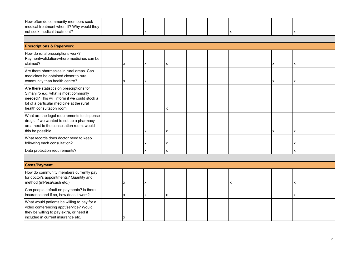| How often do community members seek<br>medical treatment when ill? Why would they<br>not seek medical treatment?                                                                                            |  |   | х |                    |  |  | x |  |     | x |  |  |  |
|-------------------------------------------------------------------------------------------------------------------------------------------------------------------------------------------------------------|--|---|---|--------------------|--|--|---|--|-----|---|--|--|--|
|                                                                                                                                                                                                             |  |   |   |                    |  |  |   |  |     |   |  |  |  |
| <b>Prescriptions &amp; Paperwork</b>                                                                                                                                                                        |  |   |   |                    |  |  |   |  |     |   |  |  |  |
| How do rural prescriptions work?<br>Payment/validation/where medicines can be<br>claimed?                                                                                                                   |  | X | X | X                  |  |  |   |  | ΙX. | X |  |  |  |
| Are there pharmacies in rural areas. Can<br>medicines be obtained closer to rural<br>community than health centre?                                                                                          |  | X | X |                    |  |  |   |  | x   | x |  |  |  |
| Are there statistics on prescriptions for<br>Simanjiro e.g. what is most commonly<br>needed? This will inform if we could stock a<br>lot of a particular medicine at the rural<br>health consultation room. |  |   |   | x                  |  |  |   |  |     |   |  |  |  |
| What are the legal requirements to dispense<br>drugs. If we wanted to set up a pharmacy<br>area next to the consultation room, would<br>this be possible.                                                   |  |   | X | X                  |  |  |   |  | x   | x |  |  |  |
| What records does doctor need to keep<br>following each consultation?                                                                                                                                       |  |   | X | X                  |  |  |   |  |     | x |  |  |  |
| Data protection requirements?                                                                                                                                                                               |  |   | x | $\pmb{\mathsf{X}}$ |  |  |   |  |     | x |  |  |  |
|                                                                                                                                                                                                             |  |   |   |                    |  |  |   |  |     |   |  |  |  |
| <b>Costs/Payment</b>                                                                                                                                                                                        |  |   |   |                    |  |  |   |  |     |   |  |  |  |
| How do community members currently pay<br>for doctor's appointments? Quantity and<br>method (mPesa/cash etc.)                                                                                               |  | X | X |                    |  |  | X |  |     | x |  |  |  |
| Can people default on payments? is there<br>insurance and if so, how does it work?                                                                                                                          |  | x | X | X                  |  |  |   |  |     | X |  |  |  |
| What would patients be willing to pay for a<br>video conferencing appt/service? Would<br>they be willing to pay extra, or need it<br>included in current insurance etc.                                     |  |   |   |                    |  |  |   |  |     |   |  |  |  |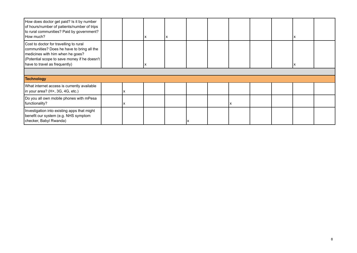| How does doctor get paid? Is it by number<br>of hours/number of patients/number of trips<br>to rural communities? Paid by government?<br>How much?                                                        |  | х |  |  |  |  |
|-----------------------------------------------------------------------------------------------------------------------------------------------------------------------------------------------------------|--|---|--|--|--|--|
| Cost to doctor for travelling to rural<br>communities? Does he have to bring all the<br>medicines with him when he goes?<br>(Potential scope to save money if he doesn't<br>have to travel as frequently) |  |   |  |  |  |  |
|                                                                                                                                                                                                           |  |   |  |  |  |  |
| Technology                                                                                                                                                                                                |  |   |  |  |  |  |
| What internet access is currently available<br>in your area? (H+, 3G, 4G, etc.)                                                                                                                           |  |   |  |  |  |  |
| Do you all own mobile phones with mPesa<br>functionality?                                                                                                                                                 |  |   |  |  |  |  |
| Investigation into existing apps that might<br>benefit our system (e.g. NHS symptom<br>checker, Babyl Rwanda)                                                                                             |  |   |  |  |  |  |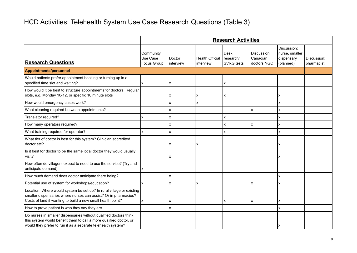### HCD Activities: Telehealth System Use Case Research Questions (Table 3)

|                                                                                                                                                                                                         | <b>Research Activities</b>                  |                     |                                     |                                        |                                        |                                                          |                           |  |  |  |
|---------------------------------------------------------------------------------------------------------------------------------------------------------------------------------------------------------|---------------------------------------------|---------------------|-------------------------------------|----------------------------------------|----------------------------------------|----------------------------------------------------------|---------------------------|--|--|--|
| <b>Research Questions</b>                                                                                                                                                                               | Community<br>Use Case<br><b>Focus Group</b> | Doctor<br>interview | <b>Health Official</b><br>interview | Desk<br>research/<br><b>SVRG</b> tests | Discussion:<br>Canadian<br>doctors NGO | Discussion:<br>nurse, smaller<br>dispensary<br>(planned) | Discussion:<br>pharmacist |  |  |  |
| <b>Appointments/personnel</b>                                                                                                                                                                           |                                             |                     |                                     |                                        |                                        |                                                          |                           |  |  |  |
| Would patients prefer appointment booking or turning up in a<br>specified time slot and waiting?                                                                                                        | ΙX                                          | x                   |                                     | x                                      |                                        |                                                          |                           |  |  |  |
| How would it be best to structure appointments for doctors: Regular<br>slots, e.g. Monday 10-12, or specific 10 minute slots                                                                            |                                             | x                   | x                                   | x                                      |                                        | x                                                        |                           |  |  |  |
| How would emergency cases work?                                                                                                                                                                         |                                             | X                   | X                                   |                                        |                                        | x                                                        |                           |  |  |  |
| What cleaning required between appointments?                                                                                                                                                            |                                             | X                   |                                     |                                        | X                                      | x                                                        |                           |  |  |  |
| Translator required?                                                                                                                                                                                    |                                             | X                   |                                     | X                                      |                                        | x                                                        |                           |  |  |  |
| How many operators required?                                                                                                                                                                            |                                             | x                   |                                     | X                                      | X                                      | X                                                        |                           |  |  |  |
| What training required for operator?                                                                                                                                                                    | Ιx                                          | x                   |                                     | X                                      |                                        | x                                                        |                           |  |  |  |
| What tier of doctor is best for this system? Clinician, accredited<br>doctor etc?                                                                                                                       |                                             | x                   | x                                   |                                        |                                        | x                                                        |                           |  |  |  |
| Is it best for doctor to be the same local doctor they would usually<br>visit?                                                                                                                          |                                             |                     |                                     |                                        |                                        | x                                                        |                           |  |  |  |
| How often do villagers expect to need to use the service? (Try and<br>anticipate demand)                                                                                                                |                                             |                     |                                     |                                        |                                        |                                                          |                           |  |  |  |
| How much demand does doctor anticipate there being?                                                                                                                                                     |                                             | X                   |                                     |                                        |                                        | x                                                        |                           |  |  |  |
| Potential use of system for workshops/education?                                                                                                                                                        | Ιx                                          | X                   | x                                   |                                        | $\pmb{\times}$                         | X                                                        |                           |  |  |  |
| Location: Where would system be set up? In rural village or existing<br>smaller dispensaries where nurses can assist? Or in pharmacies?<br>Costs of land if wanting to build a new small health point?  | ΙX                                          |                     |                                     | x                                      | ΙX                                     | x                                                        |                           |  |  |  |
| How to prove patient is who they say they are                                                                                                                                                           |                                             |                     |                                     |                                        |                                        | x                                                        |                           |  |  |  |
| Do nurses in smaller dispensaries without qualified doctors think<br>this system would benefit them to call a more qualified doctor, or<br>would they prefer to run it as a separate telehealth system? |                                             |                     |                                     |                                        |                                        | X                                                        |                           |  |  |  |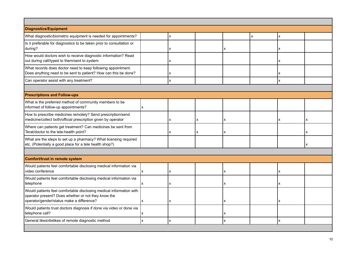| <b>Diagnostics/Equipment</b>                                                                                                                                            |     |   |   |   |   |   |   |
|-------------------------------------------------------------------------------------------------------------------------------------------------------------------------|-----|---|---|---|---|---|---|
| What diagnostic/biometric equipment is needed for appointments?                                                                                                         |     | X |   |   | X | x |   |
| Is it preferable for diagnostics to be taken prior to consultation or<br>during?                                                                                        |     | x |   | X |   | x |   |
| How would doctors wish to receive diagnostic information? Read<br>out during call/typed to them/sent to system                                                          |     | x |   |   |   | X |   |
| What records does doctor need to keep following appointment.<br>Does anything need to be sent to patient? How can this be done?                                         |     | x |   |   |   | x |   |
| Can operator assist with any treatment?                                                                                                                                 |     | x |   |   |   | x |   |
|                                                                                                                                                                         |     |   |   |   |   |   |   |
| <b>Prescriptions and Follow-ups</b>                                                                                                                                     |     |   |   |   |   |   |   |
| What is the preferred method of community members to be<br>informed of follow-up appointments?                                                                          | lx. |   |   |   |   |   |   |
| How to prescribe medicines remotely? Send prescription/send<br>medicine/collect both/official prescription given by operator                                            |     | x | x | x |   | X | x |
| Where can patients get treatment? Can medicines be sent from<br>Terat/doctor to the tele-health point?                                                                  |     | x | x | x |   |   | x |
| What are the steps to set up a pharmacy? What licensing required<br>etc. (Potentially a good place for a tele health shop?)                                             |     |   |   |   |   |   | X |
|                                                                                                                                                                         |     |   |   |   |   |   |   |
| Comfort/trust in remote system                                                                                                                                          |     |   |   |   |   |   |   |
| Would patients feel comfortable disclosing medical information via<br>video conference                                                                                  | lx. | X |   | x |   | X |   |
| Would patients feel comfortable disclosing medical information via<br>telephone                                                                                         | ΙX. | X |   | x |   | X |   |
| Would patients feel comfortable disclosing medical information with<br>operator present? Does whether or not they know the<br>operator/gender/status make a difference? | lx. | X |   | X |   | x |   |
| Would patients trust doctors diagnosis if done via video or done via<br>telephone call?                                                                                 |     |   |   | x |   |   |   |
| General likes/dislikes of remote diagnostic method                                                                                                                      | Ιx. | X |   | X |   | x |   |
|                                                                                                                                                                         |     |   |   |   |   |   |   |